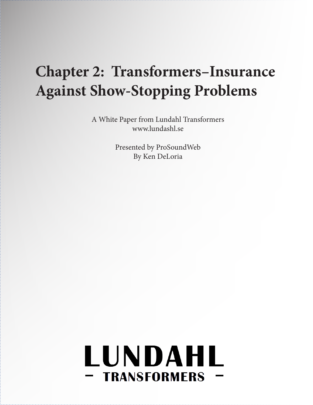## **Chapter 2: Transformers–Insurance Against Show-Stopping Problems**

A White Paper from Lundahl Transformers www.lundashl.se

> Presented by ProSoundWeb By Ken DeLoria

# LUNDAHL - TRANSFORMERS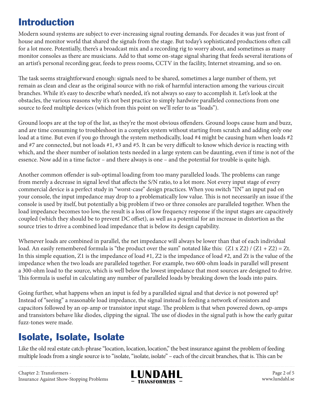#### Introduction

Modern sound systems are subject to ever-increasing signal routing demands. For decades it was just front of house and monitor world that shared the signals from the stage. But today's sophisticated productions often call for a lot more. Potentially, there's a broadcast mix and a recording rig to worry about, and sometimes as many monitor consoles as there are musicians. Add to that some on-stage signal sharing that feeds several iterations of an artist's personal recording gear, feeds to press rooms, CCTV in the facility, Internet streaming, and so on.

The task seems straightforward enough: signals need to be shared, sometimes a large number of them, yet remain as clean and clear as the original source with no risk of harmful interaction among the various circuit branches. While it's easy to describe what's needed, it's not always so easy to accomplish it. Let's look at the obstacles, the various reasons why it's not best practice to simply hardwire paralleled connections from one source to feed multiple devices (which from this point on we'll refer to as "loads").

Ground loops are at the top of the list, as they're the most obvious offenders. Ground loops cause hum and buzz, and are time consuming to troubleshoot in a complex system without starting from scratch and adding only one load at a time. But even if you go through the system methodically, load #4 might be causing hum when loads #2 and #7 are connected, but not loads #1, #3 and #5. It can be very difficult to know which device is reacting with which, and the sheer number of isolation tests needed in a large system can be daunting, even if time is not of the essence. Now add in a time factor – and there always is one – and the potential for trouble is quite high.

Another common offender is sub-optimal loading from too many paralleled loads. The problems can range from merely a decrease in signal level that affects the S/N ratio, to a lot more. Not every input stage of every commercial device is a perfect study in "worst-case" design practices. When you switch "IN" an input pad on your console, the input impedance may drop to a problematically low value. This is not necessarily an issue if the console is used by itself, but potentially a big problem if two or three consoles are paralleled together. When the load impedance becomes too low, the result is a loss of low frequency response if the input stages are capacitively coupled (which they should be to prevent DC offset), as well as a potential for an increase in distortion as the source tries to drive a combined load impedance that is below its design capability.

Whenever loads are combined in parallel, the net impedance will always be lower than that of each individual load. An easily remembered formula is "the product over the sum" notated like this:  $(Z1 \times Z2) / (Z1 + Z2) = Zt$ . In this simple equation, Z1 is the impedance of load #1, Z2 is the impedance of load #2, and Zt is the value of the impedance when the two loads are paralleled together. For example, two 600-ohm loads in parallel will present a 300-ohm load to the source, which is well below the lowest impedance that most sources are designed to drive. This formula is useful in calculating any number of paralleled loads by breaking down the loads into pairs.

Going further, what happens when an input is fed by a paralleled signal and that device is not powered up? Instead of "seeing" a reasonable load impedance, the signal instead is feeding a network of resistors and capacitors followed by an op-amp or transistor input stage. The problem is that when powered down, op-amps and transistors behave like diodes, clipping the signal. The use of diodes in the signal path is how the early guitar fuzz-tones were made.

#### Isolate, Isolate, Isolate

Like the old real estate catch-phrase "location, location, location," the best insurance against the problem of feeding multiple loads from a single source is to "isolate, "isolate, isolate" – each of the circuit branches, that is. This can be



Page 2 of 5 www.lundahl.se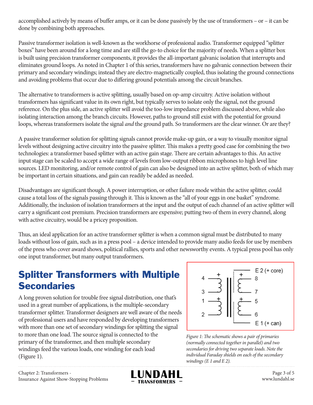accomplished actively by means of buffer amps, or it can be done passively by the use of transformers – or – it can be done by combining both approaches.

Passive transformer isolation is well-known as the workhorse of professional audio. Transformer equipped "splitter boxes" have been around for a long time and are still the go-to choice for the majority of needs. When a splitter box is built using precision transformer components, it provides the all-important galvanic isolation that interrupts and eliminates ground loops. As noted in Chapter 1 of this series, transformers have no galvanic connection between their primary and secondary windings; instead they are electro-magnetically coupled, thus isolating the ground connections and avoiding problems that occur due to differing ground potentials among the circuit branches.

The alternative to transformers is active splitting, usually based on op-amp circuitry. Active isolation without transformers has significant value in its own right, but typically serves to isolate only the signal, not the ground reference. On the plus side, an active splitter will avoid the too-low impedance problem discussed above, while also isolating interaction among the branch circuits. However, paths to ground still exist with the potential for ground loops, whereas transformers isolate the signal *and* the ground path. So transformers are the clear winner. Or are they?

A passive transformer solution for splitting signals cannot provide make-up gain, or a way to visually monitor signal levels without designing active circuitry into the passive splitter. This makes a pretty good case for combining the two technologies: a transformer based splitter with an active gain stage. There are certain advantages to this. An active input stage can be scaled to accept a wide range of levels from low-output ribbon microphones to high level line sources. LED monitoring, and/or remote control of gain can also be designed into an active splitter, both of which may be important in certain situations, and gain can readily be added as needed.

Disadvantages are significant though. A power interruption, or other failure mode within the active splitter, could cause a total loss of the signals passing through it. This is known as the "all of your eggs in one basket" syndrome. Additionally, the inclusion of isolation transformers at the input and the output of each channel of an active splitter will carry a significant cost premium. Precision transformers are expensive; putting two of them in every channel, along with active circuitry, would be a pricey proposition.

Thus, an ideal application for an active transformer splitter is when a common signal must be distributed to many loads without loss of gain, such as in a press pool – a device intended to provide many audio feeds for use by members of the press who cover award shows, political rallies, sports and other newsworthy events. A typical press pool has only one input transformer, but many output transformers.

#### Splitter Transformers with Multiple **Secondaries**

A long proven solution for trouble free signal distribution, one that's used in a great number of applications, is the multiple-secondary transformer splitter. Transformer designers are well aware of the needs of professional users and have responded by developing transformers with more than one set of secondary windings for splitting the signal to more than one load. The source signal is connected to the primary of the transformer, and then multiple secondary windings feed the various loads, one winding for each load (Figure 1).



*Figure 1: The schematic shows a pair of primaries (normally connected together in parallel) and two secondaries for driving two separate loads. Note the individual Faraday shields on each of the secondary windings (E 1 and E 2).*

Chapter 2: Transformers - Insurance Against Show-Stopping Problems



Page 3 of 5 www.lundahl.se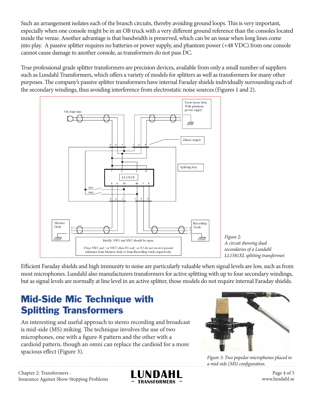Such an arrangement isolates each of the branch circuits, thereby avoiding ground loops. This is very important, especially when one console might be in an OB truck with a very different ground reference than the consoles located inside the venue. Another advantage is that bandwidth is preserved, which can be an issue when long lines come into play. A passive splitter requires no batteries or power supply, and phantom power (+48 VDC) from one console cannot cause damage to another console, as transformers do not pass DC.

True professional grade splitter transformers are precision devices, available from only a small number of suppliers such as Lundahl Transformers, which offers a variety of models for splitters as well as transformers for many other purposes. The company's passive splitter transformers have internal Faraday shields individually surrounding each of the secondary windings, thus avoiding interference from electrostatic noise sources (Figures 1 and 2).



*Figure 2: A circuit showing dual secondaries of a Lundahl LL1581XL splitting transformer.*

Efficient Faraday shields and high immunity to noise are particularly valuable when signal levels are low, such as from most microphones. Lundahl also manufacturers transformers for active splitting with up to four secondary windings, but as signal levels are normally at line level in an active splitter, those models do not require internal Faraday shields.

### Mid-Side Mic Technique with Splitting Transformers

An interesting and useful approach to stereo recording and broadcast is mid-side (MS) miking. The technique involves the use of two microphones, one with a figure-8 pattern and the other with a cardioid pattern, though an omni can replace the cardioid for a more spacious effect (Figure 3).



*Figure 3: Two popular microphones placed in a mid-side (MS) configuration.*